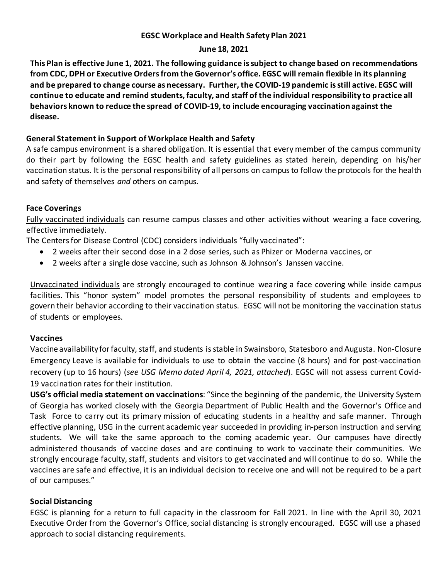## **EGSC Workplace and Health Safety Plan 2021**

## **June 18, 2021**

**This Plan is effective June 1, 2021. The following guidance is subject to change based on recommendations from CDC, DPH or Executive Orders from the Governor's office. EGSC will remain flexible in its planning and be prepared to change course as necessary. Further, the COVID-19 pandemic is still active. EGSC will continue to educate and remind students, faculty, and staff of the individual responsibility to practice all behaviors known to reduce the spread of COVID-19, to include encouraging vaccination against the disease.**

# **General Statement in Support of Workplace Health and Safety**

A safe campus environment is a shared obligation. It is essential that every member of the campus community do their part by following the EGSC health and safety guidelines as stated herein, depending on his/her vaccination status. It is the personal responsibility of all persons on campus to follow the protocols for the health and safety of themselves *and* others on campus.

## **Face Coverings**

Fully vaccinated individuals can resume campus classes and other activities without wearing a face covering, effective immediately.

The Centers for Disease Control (CDC) considers individuals "fully vaccinated":

- 2 weeks after their second dose in a 2 dose series, such as Phizer or Moderna vaccines, or
- 2 weeks after a single dose vaccine, such as Johnson & Johnson's Janssen vaccine.

Unvaccinated individuals are strongly encouraged to continue wearing a face covering while inside campus facilities. This "honor system" model promotes the personal responsibility of students and employees to govern their behavior according to their vaccination status. EGSC will not be monitoring the vaccination status of students or employees.

## **Vaccines**

Vaccine availability for faculty, staff, and students is stable in Swainsboro, Statesboro and Augusta. Non-Closure Emergency Leave is available for individuals to use to obtain the vaccine (8 hours) and for post-vaccination recovery (up to 16 hours) (*see USG Memo dated April 4, 2021, attached*). EGSC will not assess current Covid-19 vaccination rates for their institution.

**USG's official media statement on vaccinations**: "Since the beginning of the pandemic, the University System of Georgia has worked closely with the Georgia Department of Public Health and the Governor's Office and Task Force to carry out its primary mission of educating students in a healthy and safe manner. Through effective planning, USG in the current academic year succeeded in providing in-person instruction and serving students. We will take the same approach to the coming academic year. Our campuses have directly administered thousands of vaccine doses and are continuing to work to vaccinate their communities. We strongly encourage faculty, staff, students and visitors to get vaccinated and will continue to do so. While the vaccines are safe and effective, it is an individual decision to receive one and will not be required to be a part of our campuses."

## **Social Distancing**

EGSC is planning for a return to full capacity in the classroom for Fall 2021. In line with the April 30, 2021 Executive Order from the Governor's Office, social distancing is strongly encouraged. EGSC will use a phased approach to social distancing requirements.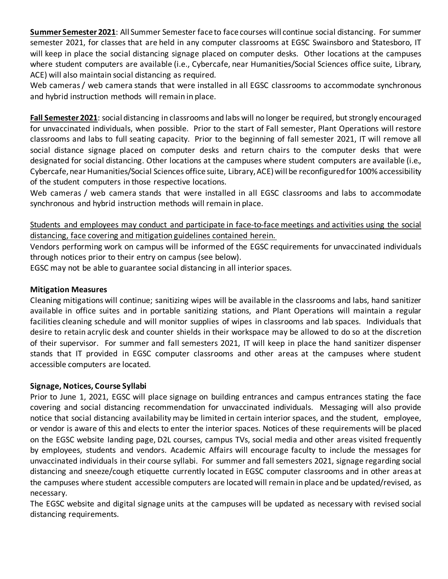**Summer Semester 2021**: All Summer Semester face to face courses will continue social distancing. For summer semester 2021, for classes that are held in any computer classrooms at EGSC Swainsboro and Statesboro, IT will keep in place the social distancing signage placed on computer desks. Other locations at the campuses where student computers are available (i.e., Cybercafe, near Humanities/Social Sciences office suite, Library, ACE) will also maintain social distancing as required.

Web cameras / web camera stands that were installed in all EGSC classrooms to accommodate synchronous and hybrid instruction methods will remain in place.

**Fall Semester 2021**: social distancing in classrooms and labs will no longer be required, but strongly encouraged for unvaccinated individuals, when possible. Prior to the start of Fall semester, Plant Operations will restore classrooms and labs to full seating capacity. Prior to the beginning of fall semester 2021, IT will remove all social distance signage placed on computer desks and return chairs to the computer desks that were designated for social distancing. Other locations at the campuses where student computers are available (i.e., Cybercafe, near Humanities/Social Sciences office suite, Library, ACE) will be reconfiguredfor 100% accessibility of the student computers in those respective locations.

Web cameras / web camera stands that were installed in all EGSC classrooms and labs to accommodate synchronous and hybrid instruction methods will remain in place.

Students and employees may conduct and participate in face-to-face meetings and activities using the social distancing, face covering and mitigation guidelines contained herein.

Vendors performing work on campus will be informed of the EGSC requirements for unvaccinated individuals through notices prior to their entry on campus (see below).

EGSC may not be able to guarantee social distancing in all interior spaces.

### **Mitigation Measures**

Cleaning mitigations will continue; sanitizing wipes will be available in the classrooms and labs, hand sanitizer available in office suites and in portable sanitizing stations, and Plant Operations will maintain a regular facilities cleaning schedule and will monitor supplies of wipes in classrooms and lab spaces. Individuals that desire to retain acrylic desk and counter shields in their workspace may be allowed to do so at the discretion of their supervisor. For summer and fall semesters 2021, IT will keep in place the hand sanitizer dispenser stands that IT provided in EGSC computer classrooms and other areas at the campuses where student accessible computers are located.

#### **Signage, Notices, Course Syllabi**

Prior to June 1, 2021, EGSC will place signage on building entrances and campus entrances stating the face covering and social distancing recommendation for unvaccinated individuals. Messaging will also provide notice that social distancing availability may be limited in certain interior spaces, and the student, employee, or vendor is aware of this and elects to enter the interior spaces. Notices of these requirements will be placed on the EGSC website landing page, D2L courses, campus TVs, social media and other areas visited frequently by employees, students and vendors. Academic Affairs will encourage faculty to include the messages for unvaccinated individuals in their course syllabi. For summer and fall semesters 2021, signage regarding social distancing and sneeze/cough etiquette currently located in EGSC computer classrooms and in other areas at the campuses where student accessible computers are located will remain in place and be updated/revised, as necessary.

The EGSC website and digital signage units at the campuses will be updated as necessary with revised social distancing requirements.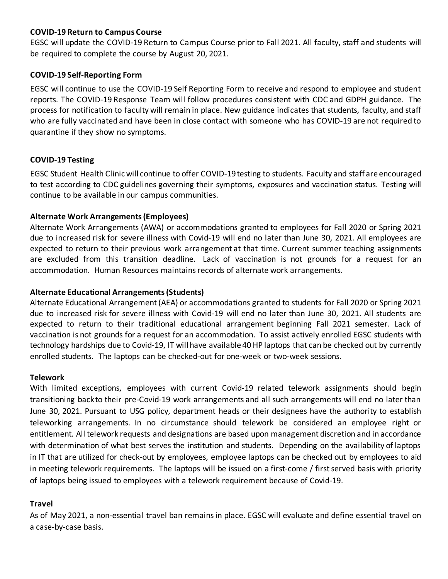## **COVID-19 Return to Campus Course**

EGSC will update the COVID-19 Return to Campus Course prior to Fall 2021. All faculty, staff and students will be required to complete the course by August 20, 2021.

## **COVID-19 Self-Reporting Form**

EGSC will continue to use the COVID-19 Self Reporting Form to receive and respond to employee and student reports. The COVID-19 Response Team will follow procedures consistent with CDC and GDPH guidance. The process for notification to faculty will remain in place. New guidance indicates that students, faculty, and staff who are fully vaccinated and have been in close contact with someone who has COVID-19 are not required to quarantine if they show no symptoms.

## **COVID-19 Testing**

EGSC Student Health Clinic will continue to offer COVID-19 testing to students. Faculty and staff are encouraged to test according to CDC guidelines governing their symptoms, exposures and vaccination status. Testing will continue to be available in our campus communities.

## **Alternate Work Arrangements(Employees)**

Alternate Work Arrangements (AWA) or accommodations granted to employees for Fall 2020 or Spring 2021 due to increased risk for severe illness with Covid-19 will end no later than June 30, 2021. All employees are expected to return to their previous work arrangement at that time. Current summer teaching assignments are excluded from this transition deadline. Lack of vaccination is not grounds for a request for an accommodation. Human Resources maintains records of alternate work arrangements.

### **Alternate Educational Arrangements(Students)**

Alternate Educational Arrangement (AEA) or accommodations granted to students for Fall 2020 or Spring 2021 due to increased risk for severe illness with Covid-19 will end no later than June 30, 2021. All students are expected to return to their traditional educational arrangement beginning Fall 2021 semester. Lack of vaccination is not grounds for a request for an accommodation. To assist actively enrolled EGSC students with technology hardships due to Covid-19, IT will have available 40 HP laptops that can be checked out by currently enrolled students. The laptops can be checked-out for one-week or two-week sessions.

#### **Telework**

With limited exceptions, employees with current Covid-19 related telework assignments should begin transitioning backto their pre-Covid-19 work arrangements and all such arrangements will end no later than June 30, 2021. Pursuant to USG policy, department heads or their designees have the authority to establish teleworking arrangements. In no circumstance should telework be considered an employee right or entitlement. All telework requests and designations are based upon management discretion and in accordance with determination of what best serves the institution and students. Depending on the availability of laptops in IT that are utilized for check-out by employees, employee laptops can be checked out by employees to aid in meeting telework requirements. The laptops will be issued on a first-come / first served basis with priority of laptops being issued to employees with a telework requirement because of Covid-19.

#### **Travel**

As of May 2021, a non-essential travel ban remains in place. EGSC will evaluate and define essential travel on a case-by-case basis.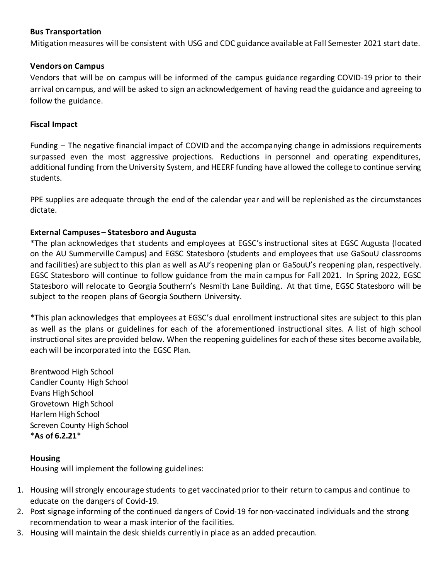## **Bus Transportation**

Mitigation measures will be consistent with USG and CDC guidance available at Fall Semester 2021 start date.

### **Vendors on Campus**

Vendors that will be on campus will be informed of the campus guidance regarding COVID-19 prior to their arrival on campus, and will be asked to sign an acknowledgement of having read the guidance and agreeing to follow the guidance.

### **Fiscal Impact**

Funding – The negative financial impact of COVID and the accompanying change in admissions requirements surpassed even the most aggressive projections. Reductions in personnel and operating expenditures, additional funding from the University System, and HEERF funding have allowed the college to continue serving students.

PPE supplies are adequate through the end of the calendar year and will be replenished as the circumstances dictate.

## **External Campuses – Statesboro and Augusta**

\*The plan acknowledges that students and employees at EGSC's instructional sites at EGSC Augusta (located on the AU Summerville Campus) and EGSC Statesboro (students and employees that use GaSouU classrooms and facilities) are subject to this plan as well as AU's reopening plan or GaSouU's reopening plan, respectively. EGSC Statesboro will continue to follow guidance from the main campus for Fall 2021. In Spring 2022, EGSC Statesboro will relocate to Georgia Southern's Nesmith Lane Building. At that time, EGSC Statesboro will be subject to the reopen plans of Georgia Southern University.

\*This plan acknowledges that employees at EGSC's dual enrollment instructional sites are subject to this plan as well as the plans or guidelines for each of the aforementioned instructional sites. A list of high school instructional sites are provided below. When the reopening guidelines for each of these sites become available, each will be incorporated into the EGSC Plan.

Brentwood High School Candler County High School Evans High School Grovetown High School Harlem High School Screven County High School \***As of 6.2.21**\*

## **Housing**

Housing will implement the following guidelines:

- 1. Housing will strongly encourage students to get vaccinated prior to their return to campus and continue to educate on the dangers of Covid-19.
- 2. Post signage informing of the continued dangers of Covid-19 for non-vaccinated individuals and the strong recommendation to wear a mask interior of the facilities.
- 3. Housing will maintain the desk shields currently in place as an added precaution.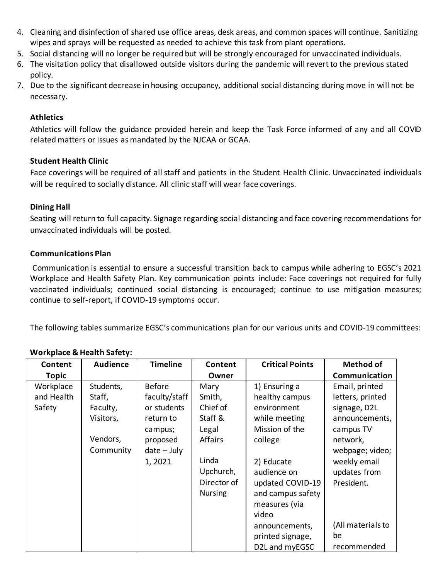- 4. Cleaning and disinfection of shared use office areas, desk areas, and common spaces will continue. Sanitizing wipes and sprays will be requested as needed to achieve this task from plant operations.
- 5. Social distancing will no longer be required but will be strongly encouraged for unvaccinated individuals.
- 6. The visitation policy that disallowed outside visitors during the pandemic will revert to the previous stated policy.
- 7. Due to the significant decrease in housing occupancy, additional social distancing during move in will not be necessary.

## **Athletics**

Athletics will follow the guidance provided herein and keep the Task Force informed of any and all COVID related matters or issues as mandated by the NJCAA or GCAA.

# **Student Health Clinic**

Face coverings will be required of all staff and patients in the Student Health Clinic. Unvaccinated individuals will be required to socially distance. All clinic staff will wear face coverings.

# **Dining Hall**

Seating will return to full capacity. Signage regarding social distancing and face covering recommendations for unvaccinated individuals will be posted.

# **Communications Plan**

Communication is essential to ensure a successful transition back to campus while adhering to EGSC's 2021 Workplace and Health Safety Plan. Key communication points include: Face coverings not required for fully vaccinated individuals; continued social distancing is encouraged; continue to use mitigation measures; continue to self-report, if COVID-19 symptoms occur.

The following tables summarize EGSC's communications plan for our various units and COVID-19 committees:

# **Workplace & Health Safety:**

| Content      | <b>Audience</b> | <b>Timeline</b> | Content        | <b>Critical Points</b> | <b>Method of</b>  |
|--------------|-----------------|-----------------|----------------|------------------------|-------------------|
| <b>Topic</b> |                 |                 | Owner          |                        | Communication     |
| Workplace    | Students,       | <b>Before</b>   | Mary           | 1) Ensuring a          | Email, printed    |
| and Health   | Staff,          | faculty/staff   | Smith,         | healthy campus         | letters, printed  |
| Safety       | Faculty,        | or students     | Chief of       | environment            | signage, D2L      |
|              | Visitors,       | return to       | Staff &        | while meeting          | announcements,    |
|              |                 | campus;         | Legal          | Mission of the         | campus TV         |
|              | Vendors,        | proposed        | <b>Affairs</b> | college                | network,          |
|              | Community       | $date - July$   |                |                        | webpage; video;   |
|              |                 | 1,2021          | Linda          | 2) Educate             | weekly email      |
|              |                 |                 | Upchurch,      | audience on            | updates from      |
|              |                 |                 | Director of    | updated COVID-19       | President.        |
|              |                 |                 | <b>Nursing</b> | and campus safety      |                   |
|              |                 |                 |                | measures (via          |                   |
|              |                 |                 |                | video                  |                   |
|              |                 |                 |                | announcements,         | (All materials to |
|              |                 |                 |                | printed signage,       | be                |
|              |                 |                 |                | D2L and myEGSC         | recommended       |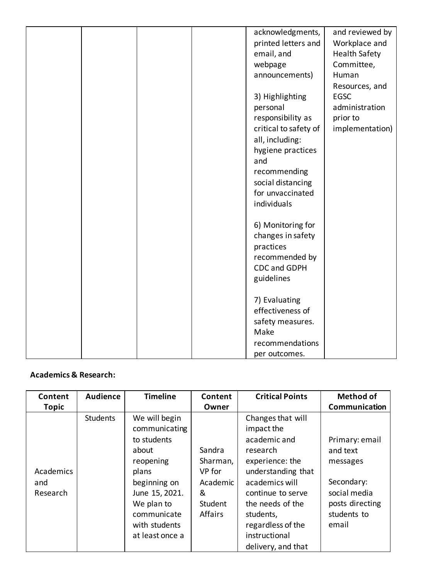|  |  | acknowledgments,      | and reviewed by      |
|--|--|-----------------------|----------------------|
|  |  |                       |                      |
|  |  | printed letters and   | Workplace and        |
|  |  | email, and            | <b>Health Safety</b> |
|  |  | webpage               | Committee,           |
|  |  | announcements)        | Human                |
|  |  |                       | Resources, and       |
|  |  | 3) Highlighting       | <b>EGSC</b>          |
|  |  | personal              | administration       |
|  |  | responsibility as     | prior to             |
|  |  | critical to safety of | implementation)      |
|  |  | all, including:       |                      |
|  |  | hygiene practices     |                      |
|  |  | and                   |                      |
|  |  | recommending          |                      |
|  |  | social distancing     |                      |
|  |  | for unvaccinated      |                      |
|  |  |                       |                      |
|  |  | individuals           |                      |
|  |  |                       |                      |
|  |  | 6) Monitoring for     |                      |
|  |  | changes in safety     |                      |
|  |  | practices             |                      |
|  |  | recommended by        |                      |
|  |  | <b>CDC and GDPH</b>   |                      |
|  |  | guidelines            |                      |
|  |  |                       |                      |
|  |  | 7) Evaluating         |                      |
|  |  | effectiveness of      |                      |
|  |  | safety measures.      |                      |
|  |  | Make                  |                      |
|  |  | recommendations       |                      |
|  |  | per outcomes.         |                      |
|  |  |                       |                      |

# **Academics & Research:**

| Content<br><b>Topic</b>      | <b>Audience</b> | <b>Timeline</b>                                                                                                                                                                 | Content<br>Owner                                                           | <b>Critical Points</b>                                                                                                                                                                                                                   | <b>Method of</b><br>Communication                                                                               |
|------------------------------|-----------------|---------------------------------------------------------------------------------------------------------------------------------------------------------------------------------|----------------------------------------------------------------------------|------------------------------------------------------------------------------------------------------------------------------------------------------------------------------------------------------------------------------------------|-----------------------------------------------------------------------------------------------------------------|
| Academics<br>and<br>Research | <b>Students</b> | We will begin<br>communicating<br>to students<br>about<br>reopening<br>plans<br>beginning on<br>June 15, 2021.<br>We plan to<br>communicate<br>with students<br>at least once a | Sandra<br>Sharman,<br>VP for<br>Academic<br>&<br>Student<br><b>Affairs</b> | Changes that will<br>impact the<br>academic and<br>research<br>experience: the<br>understanding that<br>academics will<br>continue to serve<br>the needs of the<br>students,<br>regardless of the<br>instructional<br>delivery, and that | Primary: email<br>and text<br>messages<br>Secondary:<br>social media<br>posts directing<br>students to<br>email |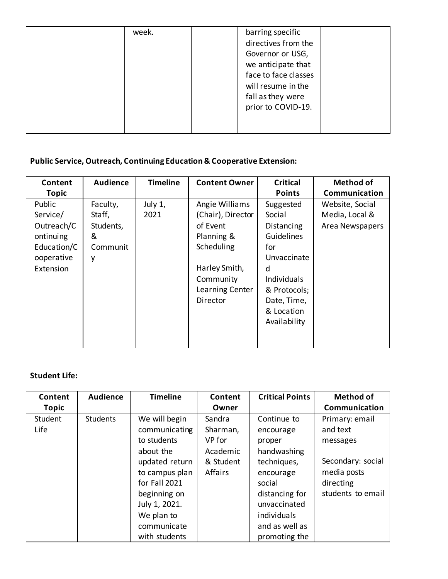| week. | barring specific<br>directives from the<br>Governor or USG,<br>we anticipate that<br>face to face classes<br>will resume in the<br>fall as they were |
|-------|------------------------------------------------------------------------------------------------------------------------------------------------------|
|       | prior to COVID-19.                                                                                                                                   |

# **Public Service, Outreach, Continuing Education & Cooperative Extension:**

| Content<br><b>Topic</b>                                                                 | <b>Audience</b>                                       | <b>Timeline</b> | <b>Content Owner</b>                                                                                                                     | <b>Critical</b><br><b>Points</b>                                                                                                                              | <b>Method of</b><br>Communication                    |
|-----------------------------------------------------------------------------------------|-------------------------------------------------------|-----------------|------------------------------------------------------------------------------------------------------------------------------------------|---------------------------------------------------------------------------------------------------------------------------------------------------------------|------------------------------------------------------|
| Public<br>Service/<br>Outreach/C<br>ontinuing<br>Education/C<br>ooperative<br>Extension | Faculty,<br>Staff,<br>Students,<br>&<br>Communit<br>y | July 1,<br>2021 | Angie Williams<br>(Chair), Director<br>of Event<br>Planning &<br>Scheduling<br>Harley Smith,<br>Community<br>Learning Center<br>Director | Suggested<br>Social<br>Distancing<br>Guidelines<br>for<br>Unvaccinate<br>d<br><b>Individuals</b><br>& Protocols;<br>Date, Time,<br>& Location<br>Availability | Website, Social<br>Media, Local &<br>Area Newspapers |

# **Student Life:**

| Content                                | <b>Audience</b> | <b>Timeline</b>                                                                                                                                                | Content                                                                   | <b>Critical Points</b>                                                                                                                   | <b>Method of</b>                                                                                                              |
|----------------------------------------|-----------------|----------------------------------------------------------------------------------------------------------------------------------------------------------------|---------------------------------------------------------------------------|------------------------------------------------------------------------------------------------------------------------------------------|-------------------------------------------------------------------------------------------------------------------------------|
| <b>Topic</b><br>Student<br><b>Life</b> | <b>Students</b> | We will begin<br>communicating<br>to students<br>about the<br>updated return<br>to campus plan<br>for Fall 2021<br>beginning on<br>July 1, 2021.<br>We plan to | Owner<br>Sandra<br>Sharman,<br>VP for<br>Academic<br>& Student<br>Affairs | Continue to<br>encourage<br>proper<br>handwashing<br>techniques,<br>encourage<br>social<br>distancing for<br>unvaccinated<br>individuals | Communication<br>Primary: email<br>and text<br>messages<br>Secondary: social<br>media posts<br>directing<br>students to email |
|                                        |                 | communicate<br>with students                                                                                                                                   |                                                                           | and as well as<br>promoting the                                                                                                          |                                                                                                                               |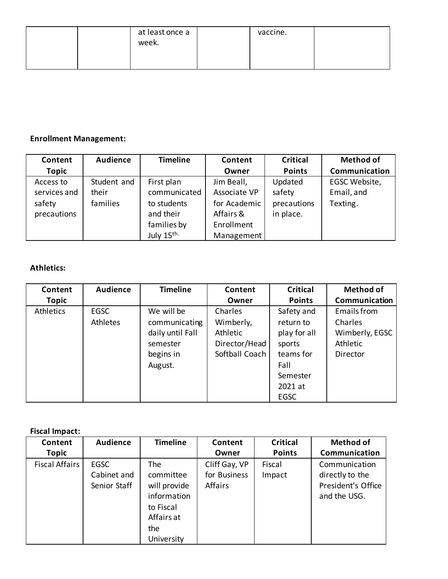| at least once a<br>week. | vaccine. |  |
|--------------------------|----------|--|
|                          |          |  |

# **Enrollment Management:**

| Content      | <b>Audience</b> | <b>Timeline</b>        | Content      | <b>Critical</b> | <b>Method of</b> |
|--------------|-----------------|------------------------|--------------|-----------------|------------------|
| <b>Topic</b> |                 |                        | Owner        | <b>Points</b>   | Communication    |
| Access to    | Student and     | First plan             | Jim Beall,   | Updated         | EGSC Website,    |
| services and | their           | communicated           | Associate VP | safety          | Email, and       |
| safety       | families        | to students            | for Academic | precautions     | Texting.         |
| precautions  |                 | and their              | Affairs &    | in place.       |                  |
|              |                 | families by            | Enrollment   |                 |                  |
|              |                 | July 15 <sup>th.</sup> | Management   |                 |                  |

# **Athletics:**

| Content      | <b>Audience</b> | <b>Timeline</b>  | Content        | <b>Critical</b> | <b>Method of</b> |
|--------------|-----------------|------------------|----------------|-----------------|------------------|
| <b>Topic</b> |                 |                  | Owner          | <b>Points</b>   | Communication    |
| Athletics    | <b>EGSC</b>     | We will be       | Charles        | Safety and      | Emails from      |
|              | Athletes        | communicating    | Wimberly,      | return to       | Charles          |
|              |                 | daily until Fall | Athletic       | play for all    | Wimberly, EGSC   |
|              |                 | semester         | Director/Head  | sports          | Athletic         |
|              |                 | begins in        | Softball Coach | teams for       | Director         |
|              |                 | August.          |                | Fall            |                  |
|              |                 |                  |                | Semester        |                  |
|              |                 |                  |                | 2021 at         |                  |
|              |                 |                  |                | <b>EGSC</b>     |                  |

#### **Fiscal Impact:**

| Content<br><b>Topic</b> | Audience                                   | <b>Timeline</b>                                                                                 | Content<br>Owner                         | <b>Critical</b><br><b>Points</b> | <b>Method of</b><br><b>Communication</b>                               |
|-------------------------|--------------------------------------------|-------------------------------------------------------------------------------------------------|------------------------------------------|----------------------------------|------------------------------------------------------------------------|
| <b>Fiscal Affairs</b>   | <b>EGSC</b><br>Cabinet and<br>Senior Staff | The<br>committee<br>will provide<br>information<br>to Fiscal<br>Affairs at<br>the<br>University | Cliff Gay, VP<br>for Business<br>Affairs | Fiscal<br>Impact                 | Communication<br>directly to the<br>President's Office<br>and the USG. |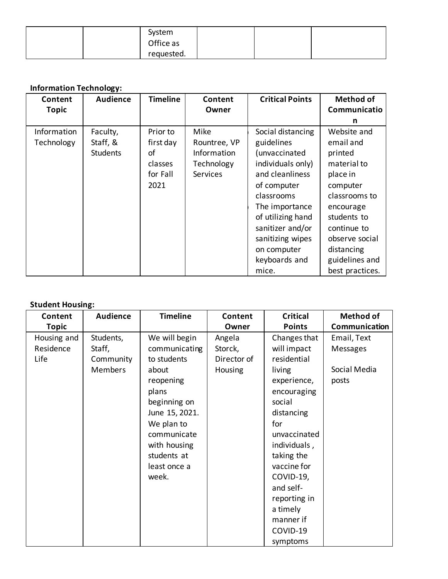|  | System     |  |  |
|--|------------|--|--|
|  | Office as  |  |  |
|  | requested. |  |  |

# **Information Technology:**

| Content      | <b>Audience</b> | <b>Timeline</b> | Content         | <b>Critical Points</b> | <b>Method of</b> |
|--------------|-----------------|-----------------|-----------------|------------------------|------------------|
| <b>Topic</b> |                 |                 | Owner           |                        | Communicatio     |
|              |                 |                 |                 |                        | n                |
| Information  | Faculty,        | Prior to        | Mike            | Social distancing      | Website and      |
| Technology   | Staff, &        | first day       | Rountree, VP    | guidelines             | email and        |
|              | <b>Students</b> | οf              | Information     | (unvaccinated          | printed          |
|              |                 | classes         | Technology      | individuals only)      | material to      |
|              |                 | for Fall        | <b>Services</b> | and cleanliness        | place in         |
|              |                 | 2021            |                 | of computer            | computer         |
|              |                 |                 |                 | classrooms             | classrooms to    |
|              |                 |                 |                 | The importance         | encourage        |
|              |                 |                 |                 | of utilizing hand      | students to      |
|              |                 |                 |                 | sanitizer and/or       | continue to      |
|              |                 |                 |                 | sanitizing wipes       | observe social   |
|              |                 |                 |                 | on computer            | distancing       |
|              |                 |                 |                 | keyboards and          | guidelines and   |
|              |                 |                 |                 | mice.                  | best practices.  |

# **Student Housing:**

| Content      | <b>Audience</b> | <b>Timeline</b> | Content        | <b>Critical</b> | <b>Method of</b> |
|--------------|-----------------|-----------------|----------------|-----------------|------------------|
| <b>Topic</b> |                 |                 | Owner          | <b>Points</b>   | Communication    |
| Housing and  | Students,       | We will begin   | Angela         | Changes that    | Email, Text      |
| Residence    | Staff,          | communicating   | Storck,        | will impact     | Messages         |
| Life         | Community       | to students     | Director of    | residential     |                  |
|              | <b>Members</b>  | about           | <b>Housing</b> | living          | Social Media     |
|              |                 | reopening       |                | experience,     | posts            |
|              |                 | plans           |                | encouraging     |                  |
|              |                 | beginning on    |                | social          |                  |
|              |                 | June 15, 2021.  |                | distancing      |                  |
|              |                 | We plan to      |                | for             |                  |
|              |                 | communicate     |                | unvaccinated    |                  |
|              |                 | with housing    |                | individuals,    |                  |
|              |                 | students at     |                | taking the      |                  |
|              |                 | least once a    |                | vaccine for     |                  |
|              |                 | week.           |                | COVID-19,       |                  |
|              |                 |                 |                | and self-       |                  |
|              |                 |                 |                | reporting in    |                  |
|              |                 |                 |                | a timely        |                  |
|              |                 |                 |                | manner if       |                  |
|              |                 |                 |                | COVID-19        |                  |
|              |                 |                 |                | symptoms        |                  |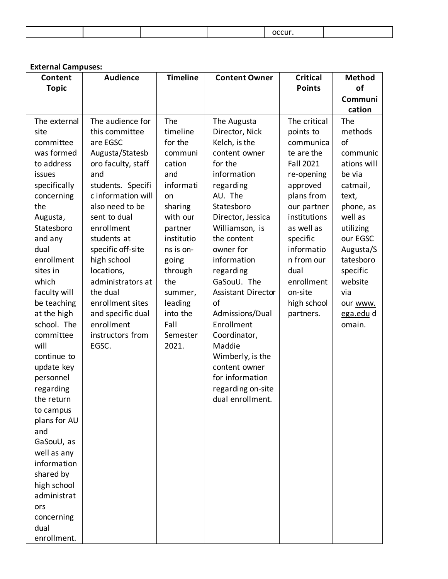#### **External Campuses:**

| Content      | <b>Audience</b>    | <b>Timeline</b> | <b>Content Owner</b>      | <b>Critical</b>  | <b>Method</b> |
|--------------|--------------------|-----------------|---------------------------|------------------|---------------|
| <b>Topic</b> |                    |                 |                           | <b>Points</b>    | of            |
|              |                    |                 |                           |                  | Communi       |
|              |                    |                 |                           |                  | cation        |
| The external | The audience for   | The             | The Augusta               | The critical     | The           |
| site         | this committee     | timeline        | Director, Nick            | points to        | methods       |
| committee    | are EGSC           | for the         | Kelch, is the             | communica        | of            |
| was formed   | Augusta/Statesb    | communi         | content owner             | te are the       | communic      |
| to address   | oro faculty, staff | cation          | for the                   | <b>Fall 2021</b> | ations will   |
| issues       | and                | and             | information               | re-opening       | be via        |
| specifically | students. Specifi  | informati       | regarding                 | approved         | catmail,      |
| concerning   | c information will | on              | AU. The                   | plans from       | text,         |
| the          | also need to be    | sharing         | Statesboro                | our partner      | phone, as     |
| Augusta,     | sent to dual       | with our        | Director, Jessica         | institutions     | well as       |
| Statesboro   | enrollment         | partner         | Williamson, is            | as well as       | utilizing     |
| and any      | students at        | institutio      | the content               | specific         | our EGSC      |
| dual         | specific off-site  | ns is on-       | owner for                 | informatio       | Augusta/S     |
| enrollment   | high school        | going           | information               | n from our       | tatesboro     |
| sites in     | locations,         | through         | regarding                 | dual             | specific      |
| which        | administrators at  | the             | GaSouU. The               | enrollment       | website       |
| faculty will | the dual           | summer,         | <b>Assistant Director</b> | on-site          | via           |
| be teaching  | enrollment sites   | leading         | of                        | high school      | our www.      |
| at the high  | and specific dual  | into the        | Admissions/Dual           | partners.        | ega.edu d     |
| school. The  | enrollment         | Fall            | Enrollment                |                  | omain.        |
| committee    | instructors from   | Semester        | Coordinator,              |                  |               |
| will         | EGSC.              | 2021.           | Maddie                    |                  |               |
| continue to  |                    |                 | Wimberly, is the          |                  |               |
| update key   |                    |                 | content owner             |                  |               |
| personnel    |                    |                 | for information           |                  |               |
| regarding    |                    |                 | regarding on-site         |                  |               |
| the return   |                    |                 | dual enrollment.          |                  |               |
| to campus    |                    |                 |                           |                  |               |
| plans for AU |                    |                 |                           |                  |               |
| and          |                    |                 |                           |                  |               |
| GaSouU, as   |                    |                 |                           |                  |               |
| well as any  |                    |                 |                           |                  |               |
| information  |                    |                 |                           |                  |               |
| shared by    |                    |                 |                           |                  |               |
| high school  |                    |                 |                           |                  |               |
| administrat  |                    |                 |                           |                  |               |
| ors          |                    |                 |                           |                  |               |
| concerning   |                    |                 |                           |                  |               |
| dual         |                    |                 |                           |                  |               |
| enrollment.  |                    |                 |                           |                  |               |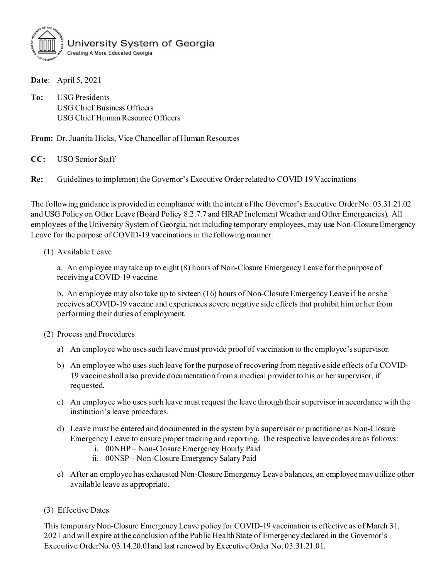

**Date**: April 5, 2021

**To:** USG Presidents USG Chief Business Officers USG Chief Human Resource Officers

**From:** Dr. Juanita Hicks, Vice Chancellor of Human Resources

**CC:** USO Senior Staff

**Re:** Guidelines to implement the Governor's Executive Order related to COVID 19 Vaccinations

The following guidance is provided in compliance with the intent of the Governor's Executive Order No. 03.31.21.02 and USG Policy on Other Leave (Board Policy 8.2.7.7 and HRAP Inclement Weather and Other Emergencies). All employees of the University System of Georgia, not including temporary employees, may use Non-Closure Emergency Leave for the purpose of COVID-19 vaccinations in the following manner:

#### (1) Available Leave

a. An employee may take up to eight (8) hours of Non-Closure Emergency Leave for the purpose of receiving aCOVID-19 vaccine.

b. An employee may also take up to sixteen (16) hours of Non-Closure Emergency Leave if he or she receives aCOVID-19 vaccine and experiences severe negative side effects that prohibit him or her from performing their duties of employment.

#### (2) Process and Procedures

- a) An employee who uses such leave must provide proof of vaccination to the employee's supervisor.
- b) An employee who uses such leave for the purpose of recovering from negative side effects of a COVID-19 vaccine shall also provide documentation from a medical provider to his or her supervisor, if requested.
- c) An employee who uses such leave must request the leave through their supervisor in accordance with the institution's leave procedures.
- d) Leave must be entered and documented in the system by a supervisor or practitioner as Non-Closure Emergency Leave to ensure proper tracking and reporting. The respective leave codes are as follows:
	- i. 00NHP Non-Closure Emergency Hourly Paid
	- ii. 00NSP Non-Closure Emergency Salary Paid
- e) After an employee has exhausted Non-Closure Emergency Leave balances, an employee may utilize other available leave as appropriate.
- (3) Effective Dates

This temporary Non-Closure Emergency Leave policy for COVID-19 vaccination is effective as of March 31, 2021 and will expire at the conclusion of the Public Health State of Emergency declared in the Governor's Executive OrderNo. 03.14.20.01and last renewed by Executive Order No. 03.31.21.01.